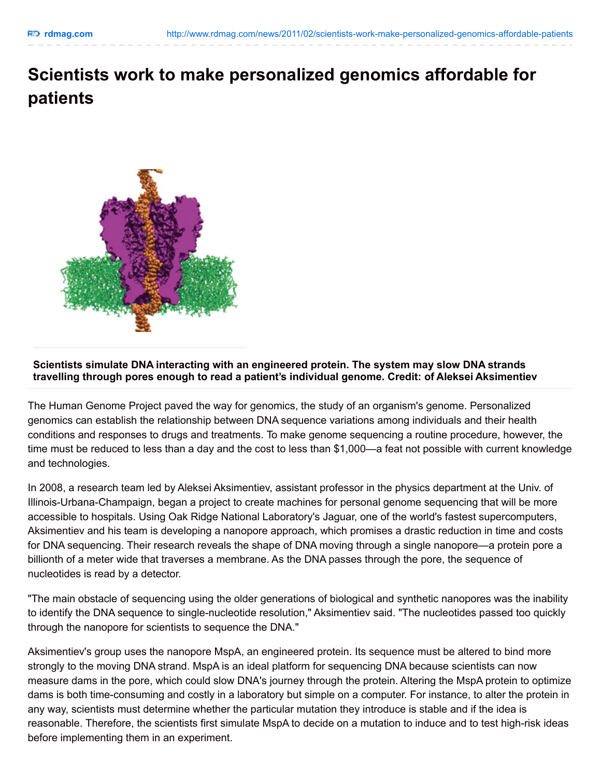## **Scientists work to make personalized genomics affordable for patients**



## **Scientists simulate DNA interacting with an engineered protein. The system may slow DNA strands travelling through pores enough to read a patient's individual genome. Credit: of Aleksei Aksimentiev**

The Human Genome Project paved the way for genomics, the study of an organism's genome. Personalized genomics can establish the relationship between DNA sequence variations among individuals and their health conditions and responses to drugs and treatments. To make genome sequencing a routine procedure, however, the time must be reduced to less than a day and the cost to less than \$1,000—a feat not possible with current knowledge and technologies.

In 2008, a research team led by Aleksei Aksimentiev, assistant professor in the physics department at the Univ. of Illinois-Urbana-Champaign, began a project to create machines for personal genome sequencing that will be more accessible to hospitals. Using Oak Ridge National Laboratory's Jaguar, one of the world's fastest supercomputers, Aksimentiev and his team is developing a nanopore approach, which promises a drastic reduction in time and costs for DNA sequencing. Their research reveals the shape of DNA moving through a single nanopore—a protein pore a billionth of a meter wide that traverses a membrane. As the DNA passes through the pore, the sequence of nucleotides is read by a detector.

"The main obstacle of sequencing using the older generations of biological and synthetic nanopores was the inability to identify the DNA sequence to single-nucleotide resolution," Aksimentiev said. "The nucleotides passed too quickly through the nanopore for scientists to sequence the DNA."

Aksimentiev's group uses the nanopore MspA, an engineered protein. Its sequence must be altered to bind more strongly to the moving DNA strand. MspA is an ideal platform for sequencing DNA because scientists can now measure dams in the pore, which could slow DNA's journey through the protein. Altering the MspA protein to optimize dams is both time-consuming and costly in a laboratory but simple on a computer. For instance, to alter the protein in any way, scientists must determine whether the particular mutation they introduce is stable and if the idea is reasonable. Therefore, the scientists first simulate MspA to decide on a mutation to induce and to test high-risk ideas before implementing them in an experiment.